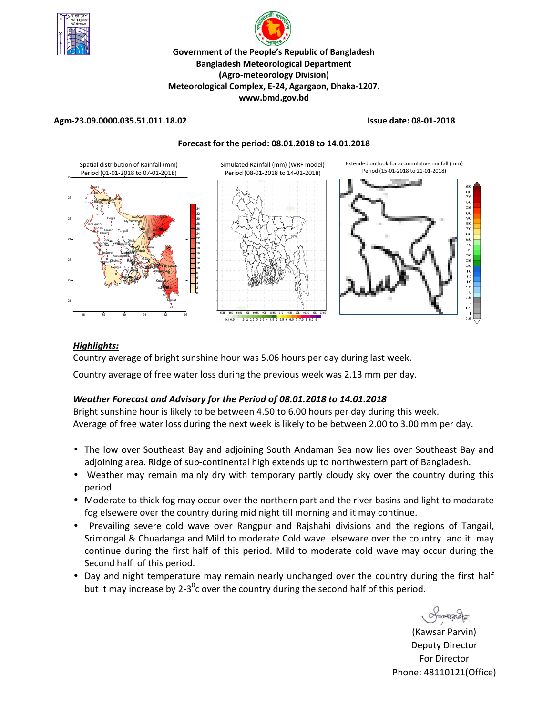



## **Meteorological Complex, E-24, Agargaon, Dhaka-1207.**

**www.bmd.gov.bd** 

## **Agm-23.09.0000.035.51.011.18.02 Issue date: 08-01-2018**





## *Highlights:*

Country average of bright sunshine hour was 5.06 hours per day during last week.

Country average of free water loss during the previous week was 2.13 mm per day.

# *Weather Forecast and Advisory for the Period of 08.01.2018 to 14.01.2018*

Bright sunshine hour is likely to be between 4.50 to 6.00 hours per day during this week. Average of free water loss during the next week is likely to be between 2.00 to 3.00 mm per day.

- The low over Southeast Bay and adjoining South Andaman Sea now lies over Southeast Bay and adjoining area. Ridge of sub-continental high extends up to northwestern part of Bangladesh.
- Weather may remain mainly dry with temporary partly cloudy sky over the country during this period.
- Moderate to thick fog may occur over the northern part and the river basins and light to modarate fog elsewere over the country during mid night till morning and it may continue.
- Prevailing severe cold wave over Rangpur and Rajshahi divisions and the regions of Tangail, Srimongal & Chuadanga and Mild to moderate Cold wave elseware over the country and it may continue during the first half of this period. Mild to moderate cold wave may occur during the Second half of this period.
- Day and night temperature may remain nearly unchanged over the country during the first half but it may increase by 2-3<sup>0</sup>c over the country during the second half of this period.

monach

(Kawsar Parvin) Deputy Director For Director Phone: 48110121(Office)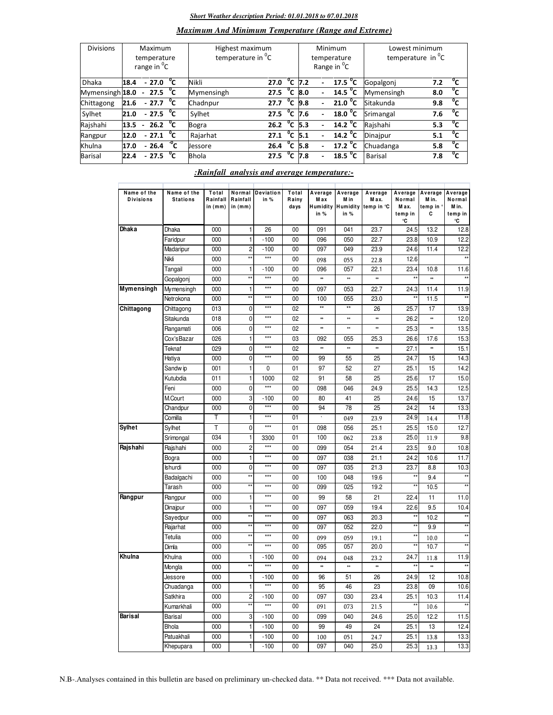## *Short Weather description Period: 01.01.2018 to 07.01.2018*

# *Maximum And Minimum Temperature (Range and Extreme)*

| <b>Divisions</b> | <b>Maximum</b><br>temperature<br>range in <sup>o</sup> C |        |                              |              | Highest maximum<br>temperature in <sup>o</sup> C |      |                |                    | Minimum<br>temperature<br>Range in <sup>O</sup> C | Lowest minimum<br>temperature in $^0C$ |     |              |
|------------------|----------------------------------------------------------|--------|------------------------------|--------------|--------------------------------------------------|------|----------------|--------------------|---------------------------------------------------|----------------------------------------|-----|--------------|
| <b>Dhaka</b>     | 18.4                                                     |        | $-27.0\text{ °C}$            |              | Nikli                                            | 27.0 | $^{\circ}$ c   | 7.2                | 17.5 <sup>o</sup> C                               | Gopalgonj                              | 7.2 | $^{\circ}$ c |
| Mymensingh 18.0  |                                                          |        | $-27.5\text{ °C}$            |              | Mymensingh                                       | 27.5 | $\overline{c}$ | 8.0                | 14.5 $^{\circ}$ C                                 | Mymensingh                             | 8.0 | °c           |
| Chittagong       | 21.6                                                     |        | $-27.7\degree$ C             |              | Chadnpur                                         | 27.7 | °c             | 9.8                | $21.0\degree$ C                                   | Sitakunda                              | 9.8 | °c           |
| Sylhet           | 21.0                                                     |        | $-27.5\text{ °C}$            |              | Sylhet                                           | 27.5 |                | $^{\circ}$ C 7.6   | 18.0 °C                                           | Srimangal                              | 7.6 | °c           |
| Rajshahi         | 13.5                                                     | $\sim$ | 26.2 $^{\circ}$ C            |              | Bogra                                            | 26.2 |                | $^{\circ}$ C 5.3   | $\overline{14.2}$ <sup>o</sup> C                  | Rajshahi                               | 5.3 | °c           |
| Rangpur          | 12.0                                                     |        | $-27.1$ <sup>0</sup> C       |              | Rajarhat                                         | 27.1 | $^{\circ}$ c   | 5.1                | $14.2 \text{ }^0\text{C}$                         | Dinajpur                               | 5.1 | $^{\circ}$ c |
| Khulna           | 17.0                                                     |        | $-26.4\quad^{\overline{0}}C$ |              | <b>Jessore</b>                                   | 26.4 |                | $\overline{C}$ 5.8 | 17.2 $^{\circ}$ C                                 | Chuadanga                              | 5.8 | °c           |
| Barisal          | 22.4                                                     |        | $-27.5$                      | $^{\circ}$ c | <b>Bhola</b>                                     | 27.5 | °c             | 7.8                | 18.5 $^{\circ}$ C                                 | Barisal                                | 7.8 | $^{\circ}$ c |

## *:Rainfall analysis and average temperature:-*

| Name of the<br><b>Divisions</b> | Name of the<br><b>Stations</b> | Total<br>Rainfall<br>in (mm) | Normal<br>Rainfall<br>in (mm) | <b>Deviation</b><br>in % | Total<br>Rainy<br>days | Average<br>Max<br>in % | Average<br>M in<br>in % | Average<br>Max.<br>Humidity Humidity temp in °C | Average<br>Normal<br>Max.<br>temp in<br>۰c | Average<br>M in.<br>temp in<br>c | Average<br>Normal<br>M in.<br>temp in<br>۰C |
|---------------------------------|--------------------------------|------------------------------|-------------------------------|--------------------------|------------------------|------------------------|-------------------------|-------------------------------------------------|--------------------------------------------|----------------------------------|---------------------------------------------|
| Dhaka                           | Dhaka                          | 000                          | 1                             | 26                       | 00                     | 091                    | 041                     | 23.7                                            | 24.5                                       | 13.2                             | 12.8                                        |
|                                 | Faridpur                       | 000                          | 1                             | $-100$                   | 00                     | 096                    | 050                     | 22.7                                            | 23.8                                       | 10.9                             | 12.2                                        |
|                                 | Madaripur                      | 000                          | 2                             | $-100$                   | 00                     | 097                    | 049                     | 23.9                                            | 24.6                                       | 11.4                             | 12.2                                        |
|                                 | Nikli                          | 000                          | $\star$                       | $***$                    | 00                     | 098                    | 055                     | 22.8                                            | 12.6                                       |                                  |                                             |
|                                 | Tangail                        | 000                          | 1                             | $-100$                   | 00                     | 096                    | 057                     | 22.1                                            | 23.4                                       | 10.8                             | 11.6                                        |
|                                 | Gopalgonj                      | 000                          | ÷.                            | $***$                    | 00                     | **                     | **                      | ×                                               |                                            | $\ddot{}$                        |                                             |
| Mymensingh                      | Mymensingh                     | 000                          | 1                             | $***$                    | 00                     | 097                    | 053                     | 22.7                                            | 24.3                                       | 11.4                             | 11.9                                        |
|                                 | Netrokona                      | 000                          | $\star\star$                  | $***$                    | 00                     | 100                    | 055                     | 23.0                                            | **                                         | 11.5                             | $\star\star$                                |
| Chittagong                      | Chittagong                     | 013                          | 0                             | $***$                    | 02                     | $\overline{**}$        | $\overline{1}$          | 26                                              | 25.7                                       | 17                               | 13.9                                        |
|                                 | Sitakunda                      | 018                          | 0                             | $***$                    | 02                     | **                     | **                      | *                                               | 26.2                                       | *                                | 12.0                                        |
|                                 | Rangamati                      | 006                          | 0                             | $***$                    | 02                     | **                     | **                      | *                                               | 25.3                                       | **                               | 13.5                                        |
|                                 | Cox'sBazar                     | 026                          | $\mathbf{1}$                  | $***$                    | 03                     | 092                    | 055                     | 25.3                                            | 26.6                                       | 17.6                             | 15.3                                        |
|                                 | Teknaf                         | 029                          | 0                             | $***$                    | 02                     | **                     | **                      | **                                              | 27.1                                       | **                               | 15.1                                        |
|                                 | Hatiya                         | 000                          | 0                             | $***$                    | 00                     | 99                     | 55                      | 25                                              | 24.7                                       | 15                               | 14.3                                        |
|                                 | Sandw ip                       | 001                          | 1                             | 0                        | 01                     | 97                     | 52                      | 27                                              | 25.1                                       | 15                               | 14.2                                        |
|                                 | Kutubdia                       | 011                          | $\mathbf{1}$                  | 1000                     | 02                     | 91                     | 58                      | 25                                              | 25.6                                       | 17                               | 15.0                                        |
|                                 | Feni                           | 000                          | 0                             | $***$                    | 00                     | 098                    | 046                     | 24.9                                            | 25.5                                       | 14.3                             | 12.5                                        |
|                                 | M.Court                        | 000                          | 3                             | $-100$                   | 00                     | 80                     | 41                      | 25                                              | 24.6                                       | 15                               | 13.7                                        |
|                                 | Chandpur                       | 000                          | 0                             | $***$                    | 00                     | 94                     | 78                      | 25                                              | 24.2                                       | 14                               | 13.3                                        |
|                                 | Comilla                        | Т                            | 1                             | $***$                    | 01                     |                        | 049                     | 23.9                                            | 24.9                                       | 14.4                             | 11.8                                        |
| <b>Sylhet</b>                   | Sylhet                         | T                            | 0                             | $***$                    | 01                     | 098                    | 056                     | 25.1                                            | 25.5                                       | 15.0                             | 12.7                                        |
|                                 | Srimongal                      | 034                          | 1                             | 3300                     | 01                     | 100                    | 062                     | 23.8                                            | 25.0                                       | 11.9                             | 9.8                                         |
| Rajshahi                        | Rajshahi                       | 000                          | $\overline{c}$                | $***$                    | 00                     | 099                    | 054                     | 21.4                                            | 23.5                                       | 9.0                              | 10.8                                        |
|                                 | Bogra                          | 000                          | $\mathbf{1}$                  | $***$                    | 00                     | 097                    | 038                     | 21.1                                            | 24.2                                       | 10.6                             | 11.7                                        |
|                                 | <b>Ishurdi</b>                 | 000                          | 0                             | $***$                    | 00                     | 097                    | 035                     | 21.3                                            | 23.7                                       | 8.8                              | 10.3                                        |
|                                 | Badalgachi                     | 000                          | $\overline{\bullet}$          | $***$                    | 00                     | 100                    | 048                     | 19.6                                            | $\star\star$                               | 9.4                              | $\overline{1}$                              |
|                                 | Tarash                         | 000                          | $\star\star$                  | $***$                    | 00                     | 099                    | 025                     | 19.2                                            |                                            | 10.5                             |                                             |
| Rangpur                         | Rangpur                        | 000                          | 1                             | $***$                    | 00                     | 99                     | 58                      | 21                                              | 22.4                                       | 11                               | 11.0                                        |
|                                 | Dinajpur                       | 000                          | $\mathbf{1}$                  | $***$                    | 00                     | 097                    | 059                     | 19.4                                            | 22.6                                       | 9.5                              | 10.4                                        |
|                                 | Sayedpur                       | 000                          | $\star$                       | $***$                    | 00                     | 097                    | 063                     | 20.3                                            | **                                         | 10.2                             | $\star\star$                                |
|                                 | Rajarhat                       | 000                          | ×                             | $***$                    | 00                     | 097                    | 052                     | 22.0                                            | x,                                         | 9.9                              | $\star\star$                                |
|                                 | Tetulia                        | 000                          | $\star\star$                  | $***$                    | 00                     | 099                    | 059                     | 19.1                                            | $\star\star$                               | 10.0                             | $\overline{1}$                              |
|                                 | Dimla                          | 000                          | $\star$                       | $***$                    | $\overline{00}$        | 095                    | 057                     | 20.0                                            |                                            | 10.7                             | $\star$                                     |
| Khulna                          | Khulna                         | 000                          | 1                             | $-100$                   | 00                     | 094                    | 048                     | 23.2                                            | 24.7                                       | 11.8                             | 11.9                                        |
|                                 | Mongla                         | 000                          | $\star$                       | $***$                    | 00                     | **                     | **                      | *                                               | $\star\star$                               | *                                |                                             |
|                                 | Jessore                        | 000                          | 1                             | $-100$                   | 00                     | 96                     | 51                      | 26                                              | 24.9                                       | 12                               | 10.8                                        |
|                                 | Chuadanga                      | 000                          | 1                             | $***$                    | 00                     | 95                     | 46                      | 23                                              | 23.8                                       | 09                               | 10.6                                        |
|                                 | Satkhira                       | 000                          | $\overline{c}$                | $-100$                   | 00                     | 097                    | 030                     | 23.4                                            | 25.1                                       | 10.3                             | 11.4                                        |
|                                 | Kumarkhali                     | 000                          | $\star\star$                  | $***$                    | 00                     | 091                    | 073                     | 21.5                                            |                                            | 10.6                             |                                             |
| <b>Barisal</b>                  |                                |                              |                               |                          |                        |                        |                         |                                                 |                                            |                                  |                                             |
|                                 | Barisal                        | 000                          | 3                             | $-100$                   | 00                     | 099                    | 040                     | 24.6                                            | 25.0                                       | 12.2                             | 11.5                                        |
|                                 | <b>Bhola</b>                   | 000                          | 1                             | $-100$                   | 00                     | 99                     | 49                      | 24                                              | 25.1                                       | 13                               | 12.4                                        |
|                                 | Patuakhali                     | 000                          | $\mathbf{1}$                  | $-100$                   | 00                     | 100                    | 051                     | 24.7                                            | 25.1                                       | 13.8                             | 13.3                                        |
|                                 | Khepupara                      | 000                          | 1                             | $-100$                   | 00                     | 097                    | 040                     | 25.0                                            | 25.3                                       | 13.3                             | 13.3                                        |

N.B-.Analyses contained in this bulletin are based on preliminary un-checked data. \*\* Data not received. \*\*\* Data not available.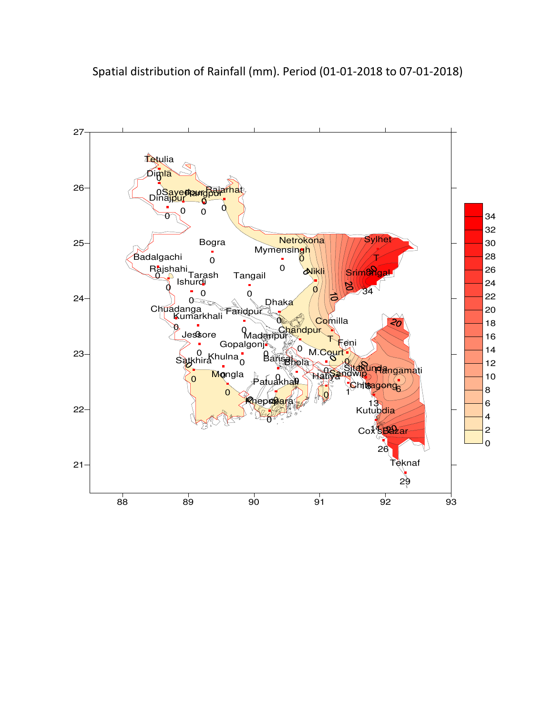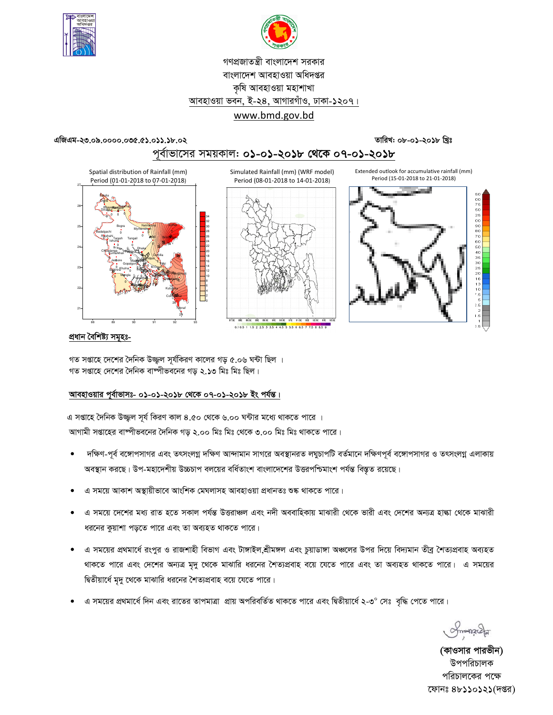



# গণপ্রজাতন্ত্রী বাংলাদেশ সরকার বাংলাদেশ আবহাওয়া অধিদপ্তর কৃষি আবহাওয়া মহাশাখা আবহাওয়া ভবন, ই-২৪, আগারগাঁও, ঢাকা-১২০৭। www.bmd.gov.bd

#### এজিএম-২৩.০৯.০০০০.০৩৫.৫১.০১১.১৮.০২

তারিখ: ০৮-০১-২০১৮ খ্রিঃ

# পূর্বাভাসের সময়কাল: ০১-০১-২০১৮ থেকে ০৭-০১-২০১৮



## প্ৰধান বৈশিষ্ট্য সমূহঃ-

গত সপ্তাহে দেশের দৈনিক উজ্জল সূর্যকিরণ কালের গড় ৫.০৬ ঘন্টা ছিল । গত সপ্তাহে দেশের দৈনিক বাম্পীভবনের গড় ২.১৩ মিঃ মিঃ ছিল।

## আবহাওয়ার পুর্বাভাসঃ- ০১-০১-২০১৮ থেকে ০৭-০১-২০১৮ ইং পর্যন্ত।

এ সপ্তাহে দৈনিক উজ্জ্বল সূর্য কিরণ কাল ৪.৫০ থেকে ৬.০০ ঘন্টার মধ্যে থাকতে পারে । আগামী সপ্তাহের বাম্পীভবনের দৈনিক গড় ২.০০ মিঃ মিঃ থেকে ৩.০০ মিঃ মিঃ থাকতে পারে।

- দক্ষিণ-পূর্ব বঙ্গোপসাগর এবং তৎসংলগ্ন দক্ষিণ আন্দামান সাগরে অবস্থানরত লঘুচাপটি বর্তমানে দক্ষিণপূর্ব বঙ্গোপসাগর ও তৎসংলগ্ন এলাকায় অবস্থান করছে। উপ-মহাদেশীয় উচ্চচাপ বলয়ের বর্ধিতাংশ বাংলাদেশের উত্তরপশ্চিমাংশ পর্যন্ত বিস্তৃত রয়েছে।
- এ সময়ে আকাশ অস্থায়ীভাবে আংশিক মেঘলাসহ আবহাওয়া প্ৰধানতঃ শুষ্ক থাকতে পারে।
- এ সময়ে দেশের মধ্য রাত হতে সকাল পর্যন্ত উত্তরাঞ্চল এবং নদী অববাহিকায় মাঝারী থেকে ভারী এবং দেশের অন্যত্র হাল্কা থেকে মাঝারী ধরনের কুয়াশা পড়তে পারে এবং তা অব্যহত থাকতে পারে।
- এ সময়ের প্রথমার্ধে রংপুর ও রাজশাহী বিভাগ এবং টাঙ্গাইল,শ্রীমঙ্গল এবং চুয়াডাঙ্গা অঞ্চলের উপর দিয়ে বিদ্যমান তীব্র শৈত্যপ্রবাহ অব্যহত থাকতে পারে এবং দেশের অন্যত্র মৃদু থেকে মাঝারি ধরনের শৈত্যপ্রবাহ বয়ে যেতে পারে এবং তা অব্যহত থাকতে পারে। এ সময়ের দ্বিতীয়ার্ধে মৃদু থেকে মাঝারি ধরনের শৈত্যপ্রবাহ বয়ে যেতে পারে।
- এ সময়ের প্রথমার্ধে দিন এবং রাতের তাপমাত্রা প্রায় অপরিবর্তিত থাকতে পারে এবং দ্বিতীয়ার্ধে ২-৩° সেঃ বৃদ্ধি পেতে পারে।

Smanach

(কাওসার পারভীন) উপপরিচালক পরিচালকের পক্ষে ফোনঃ ৪৮১১০১২১(দপ্তর)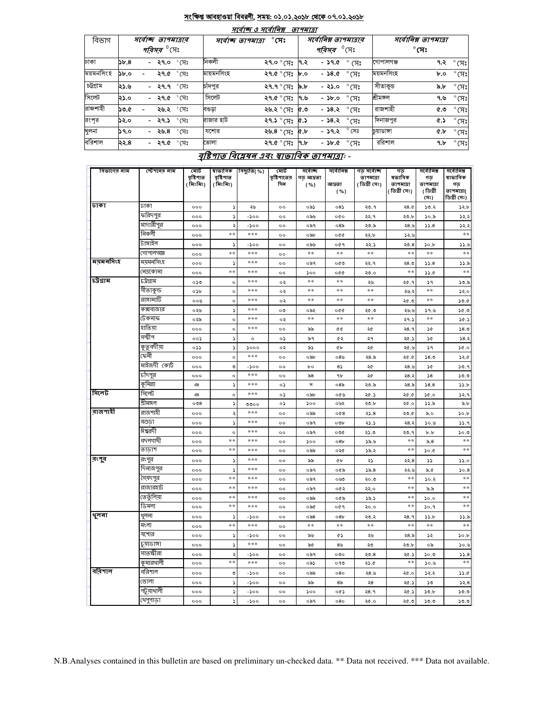#### সংক্ষিপ্ত আবহাওয়া বিবরণী, সময়: ০১.০১.২০১৮ থেকে ০৭.০১.২০১৮  $\overline{+}$

 $-$ 

 $-$ 

|           | માવાજ હ માવા।વક્ષ<br><i>9194131</i> |                               |            |                                    |      |                                     |                       |                      |              |                |  |  |  |  |
|-----------|-------------------------------------|-------------------------------|------------|------------------------------------|------|-------------------------------------|-----------------------|----------------------|--------------|----------------|--|--|--|--|
| বিভাগ     |                                     | সৰ্বোচ্ছ তাপমাত্ৰাৰ           |            | $^\circ$ সেঃ<br>সৰ্বোচ্ছ তাপমাত্ৰা |      |                                     | সর্বোনিম্ন তাপমাত্রার | সর্বোনিম্ন তাপমাত্রা |              |                |  |  |  |  |
|           |                                     | <i>পরিসর <sup>৩</sup></i> সেঃ |            |                                    |      | <i><b>পরিসর <sup>0</sup>(সং</b></i> |                       |                      | $^\circ$ সেঃ |                |  |  |  |  |
| ঢাকা      | 55.8                                | - ২৭.০ °সেঃ                   | নিকলী      | ২৭.০ ° সেঃ                         | ।৭.২ | - ১৭.৫                              | $^{\circ}$ (সেঃ       | গোপালগঞ্জ            | ৭.২          | $^{\circ}$ (সঃ |  |  |  |  |
| ময়মনসিংহ | $\delta$ .0                         | ২৭.৫ ° সেঃ                    | মায়মনসিংহ | ২৭.৫ ° সেঃ                         | b.o  | - ১৪.৫                              | $^\circ$ (সঃ          | ময়মনসিংহ            | b.o          | $^{\circ}$ (সঃ |  |  |  |  |
| চট্টগ্ৰাম | ২১.৬                                | $-$ ২৭.৭ $\degree$ সেঃ        | চাঁদপুর    | ২৭.৭ ° সেঃ                         | ৯.৮  | - ২১.০                              | $\degree$ সেঃ         | সীতাকুভ              | ৯.৮          | $\degree$ (সঃ  |  |  |  |  |
| সিলেট     | ২১.০                                | - ২৭.৫ ° সেঃ                  | সিলেট      | ২৭.৫ ° সেঃ                         | ।৭.৬ | $ \delta$                           | $\degree$ মেঃ         | শ্ৰীমঙ্গল            | ৭.৬          | $^{\circ}$ (সঃ |  |  |  |  |
| রাজশাহী   | ১৩.৫                                | ২৬.২ ° সেঃ                    | বণ্ডড়া    | ২৬.২ ° সেঃ                         | ৫.৩  | - <b>১৪.২</b> ° সেঃ                 |                       | রাজশাহী              | ৫.৩          | $\degree$ (সঃ  |  |  |  |  |
| রংপূর     | ১২.০                                | $^{\circ}$ সেঃ<br>- ২৭.১      | রাজার হাট  | ২৭.১ ° সেঃ                         | ৫.১  | - ১৪.২ $\degree$ সেঃ                |                       | দিনাজপুর             | <b>4.5</b>   | $^{\circ}$ (সঃ |  |  |  |  |
| খুলনা     | ১৭.০                                | $^{\circ}$ সেঃ<br>- ২৬.৪      | যশোর       | ২৬.৪ ° সেঃ                         | &.b  | - ১৭.২                              | $^{\circ}$ সেঃ        | চুয়াডাঙ্গা          | ¢.b          | $^{\circ}$ (সঃ |  |  |  |  |
| বরিশাল    | ২২.৪                                | - ২৭.৫ °সেঃ                   | ভোলা       | ২৭.৫ ° সেঃ                         | Գ.৮  | - ১৮.৫                              | $^\circ$ সেঃ          | ররিশাল               | ዓ.৮          | $^{\circ}$ (সঃ |  |  |  |  |

# বৃষ্টিশাত বিশ্লেষৰ এবং স্বাভাবিক তাপমাত্ৰা -

| বিভাগের নাম | স্টেশনের নাম         | মোট                    | ষাভাবিক               | বিছ্যুতি(%) | মোট                | সৰ্বোচ্ছ          | সৰ্বোনিম্ন      | গড় সৰ্বোচ্ছ               | গড়                 | সৰ্বোনিম্ন      | সৰ্বোনিম্ন            |
|-------------|----------------------|------------------------|-----------------------|-------------|--------------------|-------------------|-----------------|----------------------------|---------------------|-----------------|-----------------------|
|             |                      | বৃষ্টিশাত<br>( মিঃমিঃ) | বৃষ্টিপাত<br>(মিঃমিঃ) |             | বৃষ্টিপাতের<br>দিন | গড আদ্রতা<br>( %) | আদ্ৰতা          | তাপমাত্রা<br>( ডিগ্ৰী সেঃ) | ষভাবিক<br>তাপমাত্রা | গড<br>তাপমাত্রা | ষাভাবিক<br>গড়        |
|             |                      |                        |                       |             |                    |                   | ( %)            |                            | ( ডিগ্ৰী সেঃ)       | (ডিগ্ৰী         | তাপমাত্রা(            |
| ঢাকা        |                      |                        |                       |             |                    |                   |                 |                            |                     | (সঃ)            | ডিগ্ৰী সেঃ)           |
|             | ঢাকা                 | 000                    | د                     | ২৬          | $^{\circ}$         | ০৯১               | 08)             | ২৩.৭                       | 28.0                | 30.2            | ১২.৮                  |
|             | ফরিদপুর<br>মাদারীপুর | 000                    | د                     | -200        | $^{\circ}$         | ০৯৬               | 000             | ২২.৭                       | ২৩.৮                | ১০.৯            | 32.3                  |
|             | নিকলী                | 000                    | ډ<br>$**$             | -200<br>*** | $^{\circ}$         | ০৯৭               | 08 <sub>0</sub> | ২৩.৯                       | 28.6                | 55.8            | 32.3<br>$\ast$ $\ast$ |
|             | টাঙ্গাইল             | 000                    |                       |             | $^{\circ}$         | ০৯৮               | ०७०             | ২২.৮                       | 32.6                |                 |                       |
|             | গোপালগজ্ঞ            | 000                    | د<br>**               | -১০০<br>*** | $^{\circ}$         | ০৯৬<br>$**$       | ०৫१<br>$***$    | ২২.১<br>**                 | ২৩.৪<br>$**$        | 30.b<br>**      | 33.6<br>$**$          |
| ময়মনসিংহ   | ময়মনসিংহ            | 000                    |                       | ***         | $\circ$            |                   |                 |                            |                     |                 |                       |
|             | নেত্ৰকোনা            | 000                    | د<br>**               | ***         | $^{\circ}$         | ০৯৭               | ০৫৩             | ২২.৭                       | ২৪.৩<br>$**$        | 33.8            | 33.8<br>$**$          |
| চট্টগ্রাম   | ঢট্রগ্রাম            | 000<br>০১৩             | $\circ$               | ***         | $^{\circ}$<br>०२   | 500<br>$**$       | ०७०<br>**       | ২৩.০                       |                     | 33.0<br>59      |                       |
|             | সীতাকুন্ড            |                        |                       | ***         |                    | **                | **              | ২৬<br>**                   | ২৫.৭                | **              | ১৩.৯                  |
|             | রাঙ্গামার্টি         | ০১৮<br>০০৬             | $\circ$<br>$\circ$    | ***         | ০২<br>०२           | **                | **              | **                         | ২৬.২                | **              | ১২.০                  |
|             | কক্সবাজার            |                        |                       | ***         |                    |                   |                 |                            | ২৫.৩                |                 | 50.6                  |
|             | টেকনাফ               | ০২৬<br>০২৯             | ډ<br>$\circ$          | ***         | ০৩<br>০২           | ০৯২<br>**         | ०৫৫<br>$***$    | ২৫.৩<br>**                 | ২৬.৬<br>২৭.১        | ১৭.৬<br>$**$    | ১৫.৩<br>30.5          |
|             | হাতিয়া              | 000                    | $\circ$               | ***         | $^{\circ}$         | ৯৯                | ¢¢              | ২৫                         | २8.१                | 5¢              | 58.3                  |
|             | সন্দ্বীপ             | ০০১                    | د                     | $\circ$     | ০১                 | ৯৭                | ৫২              | ২৭                         | ২৫.১                | ১৫              | 38.3                  |
|             | কুতুবদীয়া           | ০১১                    | S                     | 5000        | ০২                 | ৯১                | ¢Ъ              | ২৫                         | ২৫.৬                | ১৭              | 30.0                  |
|             | কেনী                 | 000                    | $\circ$               | ***         | $^{\circ}$         | ০৯৮               | ০8৬             | ২৪.৯                       | ২৫.৫                | 58.0            | ১২.৫                  |
|             | মাইজদী কোর্ট         | 000                    | ৩                     | -200        | $^{\circ}$         | bο                | 85              | ২৫                         | 28.6                | ১৫              | 30.9                  |
|             | চাঁদপুর              | 000                    | $\circ$               | ***         | $^{\circ}$         | ৯৪                | ٩b              | ২৫                         | ২৪.২                | 58              | 50.5                  |
|             | কুমিল্লা             | ঞ                      | ډ                     | ***         | ০১                 | দ                 | 08 <sub>o</sub> | ২৩.৯                       | ২8.৯                | 38.8            | 55.b                  |
| সিলেট       | সিলেট                | ക                      | $\circ$               | ***         | ০১                 | ০৯৮               | ০৫৬             | ২৫.১                       | ২৫.৫                | ১৫.০            | 32.9                  |
|             | শ্ৰীমঙ্গল            | 008                    | $\blacktriangleright$ | ৩৩০০        | ०১                 | 500               | ০৬২             | ২৩.৮                       | ২৫.০                | 33.5            | $\delta$ .b           |
| ৰাজশাহী     | রাজশাহী              | 000                    | ২                     | ***         | 00                 | ০৯৯               | 0@8             | 25.8                       | ২৩.৫                | ৯.০             | 50.b                  |
|             | বগুডা                | 000                    | ډ                     | ***         | $^{\circ}$         | ০৯৭               | ০৩৮             | ২১.১                       | 28.3                | ১০.৬            | ۹.دد                  |
|             | ঈশ্বরদী              | 000                    | $\circ$               | ***         | $^{\circ}$         | ০৯৭               | ০৩৫             | ২১.৩                       | ২৩.৭                | b.b             | 50.0                  |
|             | বদলগাছী              | 000                    | **                    | ***         | $^{\circ}$         | ১০০               | 08 <sub>b</sub> | ১৯.৬                       | $**$                | ৯. $8$          | $**$                  |
|             | তাডাশ                | 000                    | **                    | ***         | $^{\circ}$         | ০৯৯               | ০২৫             | ১৯.২                       | $**$                | 0.06            | $**$                  |
| রংগুব       | রংপুর                | 000                    | S                     | ***         | $^{\circ}$         | ৯৯                | ¢Ъ              | ২১                         | ২২.৪                | دد              | 55.0                  |
|             | দিনাজপুর             | 000                    | د                     | ***         | $^{\circ}$         | ০৯৭               | ০৫৯             | 55.8                       | 22.6                | ৯.৫             | 30.8                  |
|             | সৈয়দপুর             | 000                    | **                    | ***         | $^{\circ}$         | ০৯৭               | ০৬৩             | ২০.৩                       | $**$                | ১০.২            | $\ast\ast$            |
|             | রাজারহাট             | 000                    | **                    | ***         | $^{\circ}$         | ০৯৭               | ০৫২             | ২২.০                       | $**$                | ৯.৯             | **                    |
|             | তেতুঁলিয়া           | 000                    | **                    | ***         | $^{\circ}$         | ০৯৯               | ০৫৯             | ১৯.১                       | $**$                | 0.06            | **                    |
|             | ডিমলা                | 000                    | **                    | ***         | $\circ$            | ০৯৫               | ०৫१             | ২০.০                       | **                  | 30.9            | $**$                  |
| থুলনা       | থুলনা                | 000                    | د                     | -১০০        | $^{\circ}$         | $\circ$ ৯8        | 08 <sub>b</sub> | ২৩.২                       | २8.१                | 33.b            | 33.8                  |
|             | মংলা                 | 000                    | $**$                  | ***         | $\circ$            | $***$             | **              | **                         | **                  | $**$            | $**$                  |
|             | যশোর                 | 000                    | S                     | -200        | $^{\circ}$         | ৯৬                | ৫১              | ২৬                         | 28.5                | ১২              | 30.b                  |
|             | চুয়াডাঙ্গা          | 000                    | ς                     | ***         | $^{\circ}$         | ৯৫                | 8 <sub>b</sub>  | ২৩                         | ২৩.৮                | ০৯              | 30.6                  |
|             | সাতস্কীরা            | 000                    | ٥                     | -১০০        | $\circ$            | ০৯৭               | ०७०             | 20.8                       | ২৫.১                | ১০.৩            | 55.8                  |
|             | কুমারথালী            | 000                    | **                    | ***         | $^{\circ}$         | ০৯১               | ০৭৩             | 23.0                       | $* *$               | 9.06            | $\ast\ast$            |
| ববিশাল      | বরিশাল               | 000                    | ৩                     | -200        | $\circ$            | ০৯৯               | 080             | ২৪.৬                       | ২৫.০                | ১২.২            | 33.0                  |
|             | ভোলা                 | 000                    | $\blacktriangleright$ | $-200$      | $^{\circ}$         | ৯৯                | 8 <sub>o</sub>  | 58                         | ২৫.১                | ১৩              | 52.8                  |
|             | পটুয়াথালী           | 000                    | ډ                     | -200        | $^{\circ}$         | ১০০               | ০৫১             | २8.१                       | ২৫.১                | ১৩.৮            | 50.0                  |
|             | খেপুপাড়া            | 000                    | $\mathbf{r}$          | $-500$      | $^{\circ}$         | ০৯৭               | 080             | ২৫.০                       | ২৫.৩                | ১৩.৩            | 50.0                  |

N.B.Analyses contained in this bulletin are based on preliminary un-checked data. \*\* Data not received. \*\*\* Data not available.